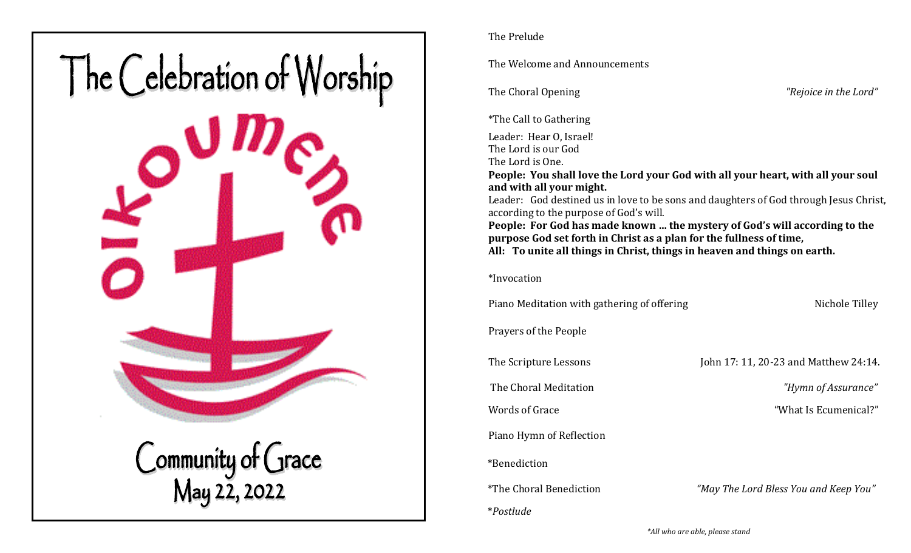

## The Prelude

The Welcome and Announcements

The Choral Opening *"Rejoice in the Lord"*

\*The Call to Gathering

Leader: Hear O, Israel! The Lord is our God The Lord is One.

**People: You shall love the Lord your God with all your heart, with all your soul and with all your might.** 

Leader: God destined us in love to be sons and daughters of God through Jesus Christ, according to the purpose of God's will. **People: For God has made known … the mystery of God's will according to the purpose God set forth in Christ as a plan for the fullness of time,** 

**All: To unite all things in Christ, things in heaven and things on earth.** 

\*Invocation

Piano Meditation with gathering of offering Nichole Tilley

Prayers of the People

The Scripture Lessons John 17: 11, 20-23 and Matthew 24:14.

The Choral Meditation *"Hymn of Assurance"* 

Words of Grace "What Is Ecumenical?"

Piano Hymn of Reflection

\*Benediction

\**Postlude* 

\*The Choral Benediction *"May The Lord Bless You and Keep You"* 

 *\*All who are able, please stand*